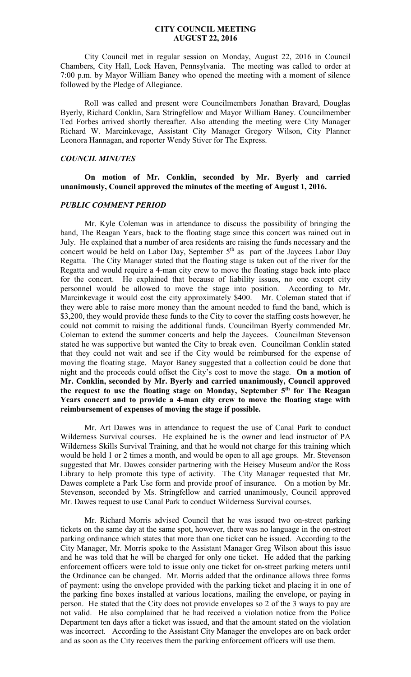#### **CITY COUNCIL MEETING AUGUST 22, 2016**

 City Council met in regular session on Monday, August 22, 2016 in Council Chambers, City Hall, Lock Haven, Pennsylvania. The meeting was called to order at 7:00 p.m. by Mayor William Baney who opened the meeting with a moment of silence followed by the Pledge of Allegiance.

 Roll was called and present were Councilmembers Jonathan Bravard, Douglas Byerly, Richard Conklin, Sara Stringfellow and Mayor William Baney. Councilmember Ted Forbes arrived shortly thereafter. Also attending the meeting were City Manager Richard W. Marcinkevage, Assistant City Manager Gregory Wilson, City Planner Leonora Hannagan, and reporter Wendy Stiver for The Express.

# *COUNCIL MINUTES*

# **On motion of Mr. Conklin, seconded by Mr. Byerly and carried unanimously, Council approved the minutes of the meeting of August 1, 2016.**

#### *PUBLIC COMMENT PERIOD*

Mr. Kyle Coleman was in attendance to discuss the possibility of bringing the band, The Reagan Years, back to the floating stage since this concert was rained out in July. He explained that a number of area residents are raising the funds necessary and the concert would be held on Labor Day, September  $5<sup>th</sup>$  as part of the Jaycees Labor Day Regatta. The City Manager stated that the floating stage is taken out of the river for the Regatta and would require a 4-man city crew to move the floating stage back into place for the concert. He explained that because of liability issues, no one except city personnel would be allowed to move the stage into position. According to Mr. Marcinkevage it would cost the city approximately \$400. Mr. Coleman stated that if they were able to raise more money than the amount needed to fund the band, which is \$3,200, they would provide these funds to the City to cover the staffing costs however, he could not commit to raising the additional funds. Councilman Byerly commended Mr. Coleman to extend the summer concerts and help the Jaycees. Councilman Stevenson stated he was supportive but wanted the City to break even. Councilman Conklin stated that they could not wait and see if the City would be reimbursed for the expense of moving the floating stage. Mayor Baney suggested that a collection could be done that night and the proceeds could offset the City's cost to move the stage. **On a motion of Mr. Conklin, seconded by Mr. Byerly and carried unanimously, Council approved the request to use the floating stage on Monday, September 5th for The Reagan Years concert and to provide a 4-man city crew to move the floating stage with reimbursement of expenses of moving the stage if possible.** 

 Mr. Art Dawes was in attendance to request the use of Canal Park to conduct Wilderness Survival courses. He explained he is the owner and lead instructor of PA Wilderness Skills Survival Training, and that he would not charge for this training which would be held 1 or 2 times a month, and would be open to all age groups. Mr. Stevenson suggested that Mr. Dawes consider partnering with the Heisey Museum and/or the Ross Library to help promote this type of activity. The City Manager requested that Mr. Dawes complete a Park Use form and provide proof of insurance. On a motion by Mr. Stevenson, seconded by Ms. Stringfellow and carried unanimously, Council approved Mr. Dawes request to use Canal Park to conduct Wilderness Survival courses.

 Mr. Richard Morris advised Council that he was issued two on-street parking tickets on the same day at the same spot, however, there was no language in the on-street parking ordinance which states that more than one ticket can be issued. According to the City Manager, Mr. Morris spoke to the Assistant Manager Greg Wilson about this issue and he was told that he will be charged for only one ticket. He added that the parking enforcement officers were told to issue only one ticket for on-street parking meters until the Ordinance can be changed. Mr. Morris added that the ordinance allows three forms of payment: using the envelope provided with the parking ticket and placing it in one of the parking fine boxes installed at various locations, mailing the envelope, or paying in person. He stated that the City does not provide envelopes so 2 of the 3 ways to pay are not valid. He also complained that he had received a violation notice from the Police Department ten days after a ticket was issued, and that the amount stated on the violation was incorrect. According to the Assistant City Manager the envelopes are on back order and as soon as the City receives them the parking enforcement officers will use them.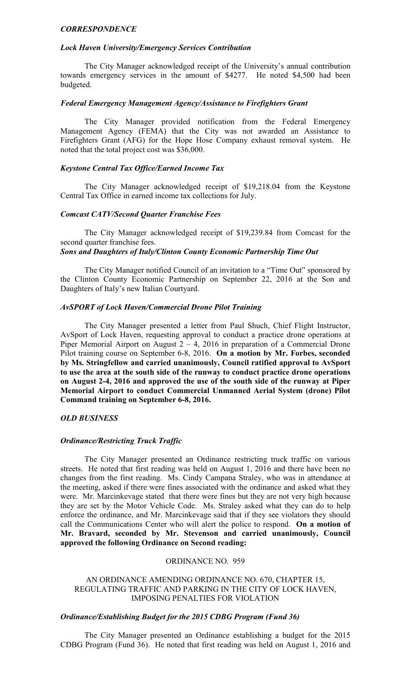#### *CORRESPONDENCE*

## *Lock Haven University/Emergency Services Contribution*

 The City Manager acknowledged receipt of the University's annual contribution towards emergency services in the amount of \$4277. He noted \$4,500 had been budgeted.

#### *Federal Emergency Management Agency/Assistance to Firefighters Grant*

 The City Manager provided notification from the Federal Emergency Management Agency (FEMA) that the City was not awarded an Assistance to Firefighters Grant (AFG) for the Hope Hose Company exhaust removal system. He noted that the total project cost was \$36,000.

#### *Keystone Central Tax Office/Earned Income Tax*

 The City Manager acknowledged receipt of \$19,218.04 from the Keystone Central Tax Office in earned income tax collections for July.

### *Comcast CATV/Second Quarter Franchise Fees*

 The City Manager acknowledged receipt of \$19,239.84 from Comcast for the second quarter franchise fees.

# *Sons and Daughters of Italy/Clinton County Economic Partnership Time Out*

 The City Manager notified Council of an invitation to a "Time Out" sponsored by the Clinton County Economic Partnership on September 22, 2016 at the Son and Daughters of Italy's new Italian Courtyard.

## *AvSPORT of Lock Haven/Commercial Drone Pilot Training*

 The City Manager presented a letter from Paul Shuch, Chief Flight Instructor, AvSport of Lock Haven, requesting approval to conduct a practice drone operations at Piper Memorial Airport on August  $2 - 4$ , 2016 in preparation of a Commercial Drone Pilot training course on September 6-8, 2016. **On a motion by Mr. Forbes, seconded by Ms. Stringfellow and carried unanimously, Council ratified approval to AvSport to use the area at the south side of the runway to conduct practice drone operations on August 2-4, 2016 and approved the use of the south side of the runway at Piper Memorial Airport to conduct Commercial Unmanned Aerial System (drone) Pilot Command training on September 6-8, 2016.** 

## *OLD BUSINESS*

#### *Ordinance/Restricting Truck Traffic*

 The City Manager presented an Ordinance restricting truck traffic on various streets. He noted that first reading was held on August 1, 2016 and there have been no changes from the first reading. Ms. Cindy Campana Straley, who was in attendance at the meeting, asked if there were fines associated with the ordinance and asked what they were. Mr. Marcinkevage stated that there were fines but they are not very high because they are set by the Motor Vehicle Code. Ms. Straley asked what they can do to help enforce the ordinance, and Mr. Marcinkevage said that if they see violators they should call the Communications Center who will alert the police to respond. **On a motion of Mr. Bravard, seconded by Mr. Stevenson and carried unanimously, Council approved the following Ordinance on Second reading:**

#### ORDINANCE NO. 959

## AN ORDINANCE AMENDING ORDINANCE NO. 670, CHAPTER 15, REGULATING TRAFFIC AND PARKING IN THE CITY OF LOCK HAVEN, IMPOSING PENALTIES FOR VIOLATION

## *Ordinance/Establishing Budget for the 2015 CDBG Program (Fund 36)*

 The City Manager presented an Ordinance establishing a budget for the 2015 CDBG Program (Fund 36). He noted that first reading was held on August 1, 2016 and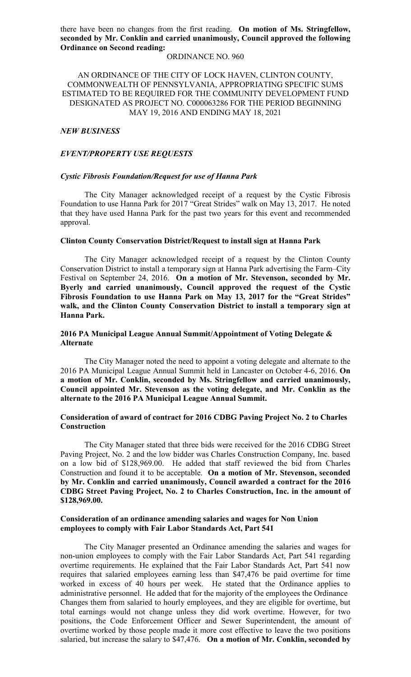there have been no changes from the first reading. **On motion of Ms. Stringfellow, seconded by Mr. Conklin and carried unanimously, Council approved the following Ordinance on Second reading:** 

### ORDINANCE NO. 960

AN ORDINANCE OF THE CITY OF LOCK HAVEN, CLINTON COUNTY, COMMONWEALTH OF PENNSYLVANIA, APPROPRIATING SPECIFIC SUMS ESTIMATED TO BE REQUIRED FOR THE COMMUNITY DEVELOPMENT FUND DESIGNATED AS PROJECT NO. C000063286 FOR THE PERIOD BEGINNING MAY 19, 2016 AND ENDING MAY 18, 2021

#### *NEW BUSINESS*

### *EVENT/PROPERTY USE REQUESTS*

#### *Cystic Fibrosis Foundation/Request for use of Hanna Park*

 The City Manager acknowledged receipt of a request by the Cystic Fibrosis Foundation to use Hanna Park for 2017 "Great Strides" walk on May 13, 2017. He noted that they have used Hanna Park for the past two years for this event and recommended approval.

### **Clinton County Conservation District/Request to install sign at Hanna Park**

 The City Manager acknowledged receipt of a request by the Clinton County Conservation District to install a temporary sign at Hanna Park advertising the Farm–City Festival on September 24, 2016. **On a motion of Mr. Stevenson, seconded by Mr. Byerly and carried unanimously, Council approved the request of the Cystic Fibrosis Foundation to use Hanna Park on May 13, 2017 for the "Great Strides" walk, and the Clinton County Conservation District to install a temporary sign at Hanna Park.** 

## **2016 PA Municipal League Annual Summit/Appointment of Voting Delegate & Alternate**

 The City Manager noted the need to appoint a voting delegate and alternate to the 2016 PA Municipal League Annual Summit held in Lancaster on October 4-6, 2016. **On a motion of Mr. Conklin, seconded by Ms. Stringfellow and carried unanimously, Council appointed Mr. Stevenson as the voting delegate, and Mr. Conklin as the alternate to the 2016 PA Municipal League Annual Summit.** 

# **Consideration of award of contract for 2016 CDBG Paving Project No. 2 to Charles Construction**

 The City Manager stated that three bids were received for the 2016 CDBG Street Paving Project, No. 2 and the low bidder was Charles Construction Company, Inc. based on a low bid of \$128,969.00. He added that staff reviewed the bid from Charles Construction and found it to be acceptable. **On a motion of Mr. Stevenson, seconded by Mr. Conklin and carried unanimously, Council awarded a contract for the 2016 CDBG Street Paving Project, No. 2 to Charles Construction, Inc. in the amount of \$128,969.00.** 

### **Consideration of an ordinance amending salaries and wages for Non Union employees to comply with Fair Labor Standards Act, Part 541**

 The City Manager presented an Ordinance amending the salaries and wages for non-union employees to comply with the Fair Labor Standards Act, Part 541 regarding overtime requirements. He explained that the Fair Labor Standards Act, Part 541 now requires that salaried employees earning less than \$47,476 be paid overtime for time worked in excess of 40 hours per week. He stated that the Ordinance applies to administrative personnel. He added that for the majority of the employees the Ordinance Changes them from salaried to hourly employees, and they are eligible for overtime, but total earnings would not change unless they did work overtime. However, for two positions, the Code Enforcement Officer and Sewer Superintendent, the amount of overtime worked by those people made it more cost effective to leave the two positions salaried, but increase the salary to \$47,476. **On a motion of Mr. Conklin, seconded by**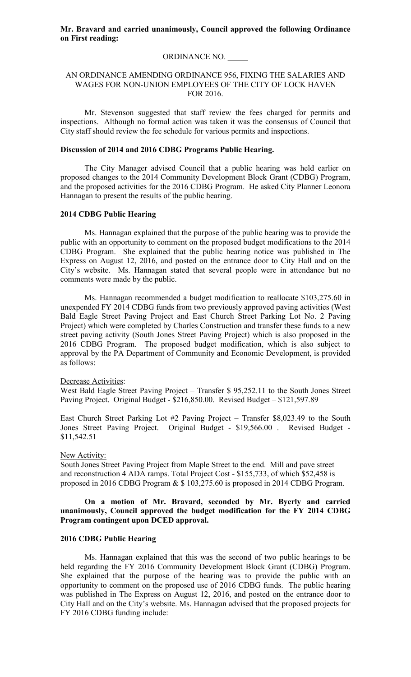## ORDINANCE NO. \_\_\_\_\_

# AN ORDINANCE AMENDING ORDINANCE 956, FIXING THE SALARIES AND WAGES FOR NON-UNION EMPLOYEES OF THE CITY OF LOCK HAVEN FOR 2016.

 Mr. Stevenson suggested that staff review the fees charged for permits and inspections. Although no formal action was taken it was the consensus of Council that City staff should review the fee schedule for various permits and inspections.

## **Discussion of 2014 and 2016 CDBG Programs Public Hearing.**

 The City Manager advised Council that a public hearing was held earlier on proposed changes to the 2014 Community Development Block Grant (CDBG) Program, and the proposed activities for the 2016 CDBG Program. He asked City Planner Leonora Hannagan to present the results of the public hearing.

### **2014 CDBG Public Hearing**

 Ms. Hannagan explained that the purpose of the public hearing was to provide the public with an opportunity to comment on the proposed budget modifications to the 2014 CDBG Program. She explained that the public hearing notice was published in The Express on August 12, 2016, and posted on the entrance door to City Hall and on the City's website. Ms. Hannagan stated that several people were in attendance but no comments were made by the public.

 Ms. Hannagan recommended a budget modification to reallocate \$103,275.60 in unexpended FY 2014 CDBG funds from two previously approved paving activities (West Bald Eagle Street Paving Project and East Church Street Parking Lot No. 2 Paving Project) which were completed by Charles Construction and transfer these funds to a new street paving activity (South Jones Street Paving Project) which is also proposed in the 2016 CDBG Program. The proposed budget modification, which is also subject to approval by the PA Department of Community and Economic Development, is provided as follows:

### Decrease Activities:

West Bald Eagle Street Paving Project – Transfer \$ 95,252.11 to the South Jones Street Paving Project. Original Budget - \$216,850.00. Revised Budget – \$121,597.89

East Church Street Parking Lot #2 Paving Project – Transfer \$8,023.49 to the South Jones Street Paving Project. Original Budget - \$19,566.00 . Revised Budget - \$11,542.51

#### New Activity:

South Jones Street Paving Project from Maple Street to the end. Mill and pave street and reconstruction 4 ADA ramps. Total Project Cost - \$155,733, of which \$52,458 is proposed in 2016 CDBG Program & \$ 103,275.60 is proposed in 2014 CDBG Program.

# **On a motion of Mr. Bravard, seconded by Mr. Byerly and carried unanimously, Council approved the budget modification for the FY 2014 CDBG Program contingent upon DCED approval.**

## **2016 CDBG Public Hearing**

 Ms. Hannagan explained that this was the second of two public hearings to be held regarding the FY 2016 Community Development Block Grant (CDBG) Program. She explained that the purpose of the hearing was to provide the public with an opportunity to comment on the proposed use of 2016 CDBG funds. The public hearing was published in The Express on August 12, 2016, and posted on the entrance door to City Hall and on the City's website. Ms. Hannagan advised that the proposed projects for FY 2016 CDBG funding include: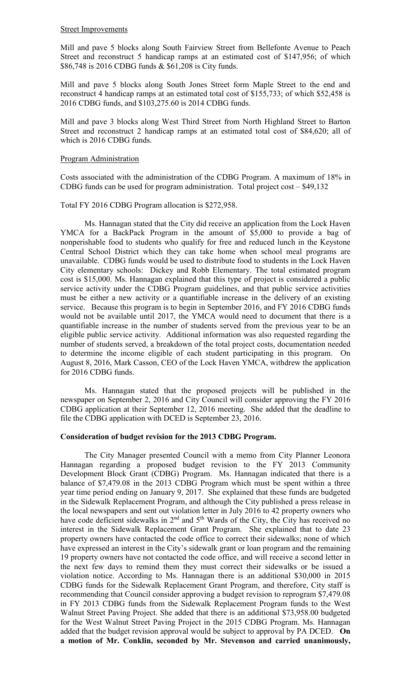#### Street Improvements

Mill and pave 5 blocks along South Fairview Street from Bellefonte Avenue to Peach Street and reconstruct 5 handicap ramps at an estimated cost of \$147,956; of which \$86,748 is 2016 CDBG funds & \$61,208 is City funds.

Mill and pave 5 blocks along South Jones Street form Maple Street to the end and reconstruct 4 handicap ramps at an estimated total cost of \$155,733; of which \$52,458 is 2016 CDBG funds, and \$103,275.60 is 2014 CDBG funds.

Mill and pave 3 blocks along West Third Street from North Highland Street to Barton Street and reconstruct 2 handicap ramps at an estimated total cost of \$84,620; all of which is 2016 CDBG funds.

## Program Administration

Costs associated with the administration of the CDBG Program. A maximum of 18% in CDBG funds can be used for program administration. Total project cost – \$49,132

## Total FY 2016 CDBG Program allocation is \$272,958.

 Ms. Hannagan stated that the City did receive an application from the Lock Haven YMCA for a BackPack Program in the amount of \$5,000 to provide a bag of nonperishable food to students who qualify for free and reduced lunch in the Keystone Central School District which they can take home when school meal programs are unavailable. CDBG funds would be used to distribute food to students in the Lock Haven City elementary schools: Dickey and Robb Elementary. The total estimated program cost is \$15,000. Ms. Hannagan explained that this type of project is considered a public service activity under the CDBG Program guidelines, and that public service activities must be either a new activity or a quantifiable increase in the delivery of an existing service. Because this program is to begin in September 2016, and FY 2016 CDBG funds would not be available until 2017, the YMCA would need to document that there is a quantifiable increase in the number of students served from the previous year to be an eligible public service activity. Additional information was also requested regarding the number of students served, a breakdown of the total project costs, documentation needed to determine the income eligible of each student participating in this program. On August 8, 2016, Mark Casson, CEO of the Lock Haven YMCA, withdrew the application for 2016 CDBG funds.

 Ms. Hannagan stated that the proposed projects will be published in the newspaper on September 2, 2016 and City Council will consider approving the FY 2016 CDBG application at their September 12, 2016 meeting. She added that the deadline to file the CDBG application with DCED is September 23, 2016.

### **Consideration of budget revision for the 2013 CDBG Program.**

 The City Manager presented Council with a memo from City Planner Leonora Hannagan regarding a proposed budget revision to the FY 2013 Community Development Block Grant (CDBG) Program. Ms. Hannagan indicated that there is a balance of \$7,479.08 in the 2013 CDBG Program which must be spent within a three year time period ending on January 9, 2017. She explained that these funds are budgeted in the Sidewalk Replacement Program, and although the City published a press release in the local newspapers and sent out violation letter in July 2016 to 42 property owners who have code deficient sidewalks in  $2<sup>nd</sup>$  and  $5<sup>th</sup>$  Wards of the City, the City has received no interest in the Sidewalk Replacement Grant Program. She explained that to date 23 property owners have contacted the code office to correct their sidewalks; none of which have expressed an interest in the City's sidewalk grant or loan program and the remaining 19 property owners have not contacted the code office, and will receive a second letter in the next few days to remind them they must correct their sidewalks or be issued a violation notice. According to Ms. Hannagan there is an additional \$30,000 in 2015 CDBG funds for the Sidewalk Replacement Grant Program, and therefore, City staff is recommending that Council consider approving a budget revision to reprogram \$7,479.08 in FY 2013 CDBG funds from the Sidewalk Replacement Program funds to the West Walnut Street Paving Project. She added that there is an additional \$73,958.00 budgeted for the West Walnut Street Paving Project in the 2015 CDBG Program. Ms. Hannagan added that the budget revision approval would be subject to approval by PA DCED. **On a motion of Mr. Conklin, seconded by Mr. Stevenson and carried unanimously,**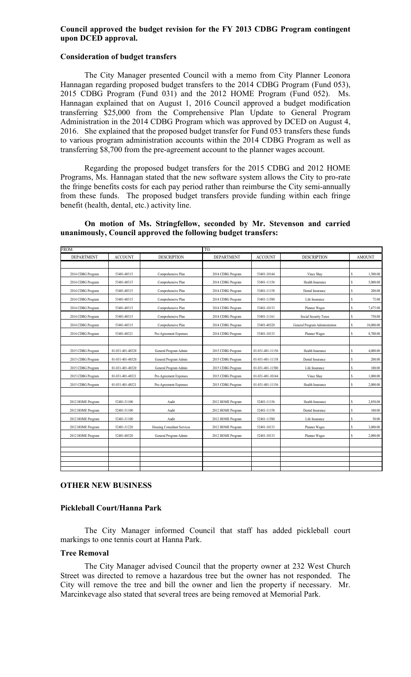# **Council approved the budget revision for the FY 2013 CDBG Program contingent upon DCED approval.**

## **Consideration of budget transfers**

 The City Manager presented Council with a memo from City Planner Leonora Hannagan regarding proposed budget transfers to the 2014 CDBG Program (Fund 053), 2015 CDBG Program (Fund 031) and the 2012 HOME Program (Fund 052). Ms. Hannagan explained that on August 1, 2016 Council approved a budget modification transferring \$25,000 from the Comprehensive Plan Update to General Program Administration in the 2014 CDBG Program which was approved by DCED on August 4, 2016. She explained that the proposed budget transfer for Fund 053 transfers these funds to various program administration accounts within the 2014 CDBG Program as well as transferring \$8,700 from the pre-agreement account to the planner wages account.

 Regarding the proposed budget transfers for the 2015 CDBG and 2012 HOME Programs, Ms. Hannagan stated that the new software system allows the City to pro-rate the fringe benefits costs for each pay period rather than reimburse the City semi-annually from these funds. The proposed budget transfers provide funding within each fringe benefit (health, dental, etc.) activity line.

# **On motion of Ms. Stringfellow, seconded by Mr. Stevenson and carried unanimously, Council approved the following budget transfers:**

| FROM:<br>TO:      |                  |                             |                   |                  |                                |               |           |
|-------------------|------------------|-----------------------------|-------------------|------------------|--------------------------------|---------------|-----------|
| <b>DEPARTMENT</b> | <b>ACCOUNT</b>   | <b>DESCRIPTION</b>          | <b>DEPARTMENT</b> | <b>ACCOUNT</b>   | <b>DESCRIPTION</b>             | <b>AMOUNT</b> |           |
|                   |                  |                             |                   |                  |                                |               |           |
| 2014 CDBG Program | 53401-40315      | Comprehensive Plan          | 2014 CDBG Program | 53401-10144      | Vince Shav                     | s             | 1,500.00  |
| 2014 CDBG Program | 53401-40315      | Comprehensive Plan          | 2014 CDBG Program | 53401-11156      | Health Insurance               | $\mathbb S$   | 5,000.00  |
| 2014 CDBG Program | 53401-40315      | Comprehensive Plan          | 2014 CDBG Program | 53401-11158      | Dental Insurance               | s             | 200.00    |
| 2014 CDBG Program | 53401-40315      | Comprehensive Plan          | 2014 CDBG Program | 53401-11580      | Life Insurance                 | s             | 75.00     |
| 2014 CDBG Program | 53401-40315      | Comprehensive Plan          | 2014 CDBG Program | 53401-10133      | Planner Wages                  | $\mathbb{S}$  | 7,475.00  |
| 2014 CDBG Program | 53401-40315      | Comprehensive Plan          | 2014 CDBG Program | 53401-11161      | Social Security Taxes          | s             | 750.00    |
| 2014 CDBG Program | 53401-40315      | Comprehensive Plan          | 2014 CDBG Program | 53401-40320      | General Program Administration | $\mathbb{S}$  | 10,000.00 |
| 2014 CDBG Program | 53401-40321      | Pre-Agreement Expenses      | 2014 CDBG Program | 53401-10133      | Planner Wages                  | s             | 8,700.00  |
|                   |                  |                             |                   |                  |                                |               |           |
| 2015 CDBG Program | 01-031-401-40320 | General Program Admin       | 2015 CDBG Program | 01-031-401-11156 | Health Insurance               | $\mathbb{S}$  | 4,000.00  |
| 2015 CDBG Program | 01-031-401-40320 | General Program Admin       | 2015 CDBG Program | 01-031-401-11158 | Dental Insurance               | s             | 200.00    |
| 2015 CDBG Program | 01-031-401-40320 | General Program Admin       | 2015 CDBG Program | 01-031-401-11580 | Life Insurance                 | \$            | 100.00    |
| 2015 CDBG Program | 01-031-401-40321 | Pre-Agreement Expenses      | 2015 CDBG Program | 01-031-401-10144 | Vince Shav                     | s             | 1,000.00  |
| 2015 CDBG Program | 01-031-401-40321 | Pre-Agreement Expenses      | 2015 CDBG Program | 01-031-401-11156 | Health Insurance               | $\mathsf{s}$  | 2,000.00  |
|                   |                  |                             |                   |                  |                                |               |           |
| 2012 HOME Program | 52401-31100      | Audit                       | 2012 HOME Program | 52401-11156      | Health Insurance               | $\mathbb{S}$  | 2,850.00  |
| 2012 HOME Program | 52401-31100      | Audit                       | 2012 HOME Program | 52401-11158      | Dental Insurance               | s             | 100.00    |
| 2012 HOME Program | 52401-31100      | Audit                       | 2012 HOME Program | 52401-11580      | Life Insurance                 | s             | 50.00     |
| 2012 HOME Program | 52401-31220      | Housing Consultant Services | 2012 HOME Program | 52401-10133      | Planner Wages                  | \$            | 3,000.00  |
| 2012 HOME Program | 52401-40320      | General Program Admin       | 2012 HOME Program | 52401-10133      | Planner Wages                  | s             | 2,000.00  |
|                   |                  |                             |                   |                  |                                |               |           |
|                   |                  |                             |                   |                  |                                |               |           |
|                   |                  |                             |                   |                  |                                |               |           |
|                   |                  |                             |                   |                  |                                |               |           |

## **OTHER NEW BUSINESS**

### **Pickleball Court/Hanna Park**

 The City Manager informed Council that staff has added pickleball court markings to one tennis court at Hanna Park.

## **Tree Removal**

 The City Manager advised Council that the property owner at 232 West Church Street was directed to remove a hazardous tree but the owner has not responded. The City will remove the tree and bill the owner and lien the property if necessary. Mr. Marcinkevage also stated that several trees are being removed at Memorial Park.